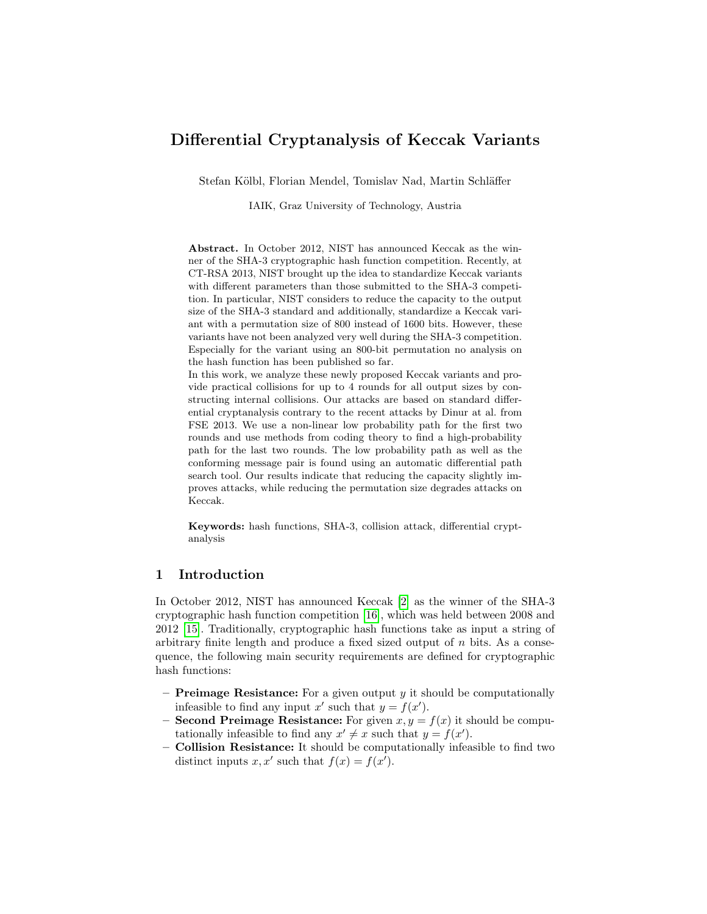# Differential Cryptanalysis of Keccak Variants

Stefan Kölbl, Florian Mendel, Tomislav Nad, Martin Schläffer

IAIK, Graz University of Technology, Austria

Abstract. In October 2012, NIST has announced Keccak as the winner of the SHA-3 cryptographic hash function competition. Recently, at CT-RSA 2013, NIST brought up the idea to standardize Keccak variants with different parameters than those submitted to the SHA-3 competition. In particular, NIST considers to reduce the capacity to the output size of the SHA-3 standard and additionally, standardize a Keccak variant with a permutation size of 800 instead of 1600 bits. However, these variants have not been analyzed very well during the SHA-3 competition. Especially for the variant using an 800-bit permutation no analysis on the hash function has been published so far.

In this work, we analyze these newly proposed Keccak variants and provide practical collisions for up to 4 rounds for all output sizes by constructing internal collisions. Our attacks are based on standard differential cryptanalysis contrary to the recent attacks by Dinur at al. from FSE 2013. We use a non-linear low probability path for the first two rounds and use methods from coding theory to find a high-probability path for the last two rounds. The low probability path as well as the conforming message pair is found using an automatic differential path search tool. Our results indicate that reducing the capacity slightly improves attacks, while reducing the permutation size degrades attacks on Keccak.

Keywords: hash functions, SHA-3, collision attack, differential cryptanalysis

## 1 Introduction

In October 2012, NIST has announced Keccak [\[2\]](#page-11-0) as the winner of the SHA-3 cryptographic hash function competition [\[16\]](#page-12-0), which was held between 2008 and 2012 [\[15\]](#page-12-1). Traditionally, cryptographic hash functions take as input a string of arbitrary finite length and produce a fixed sized output of  $n$  bits. As a consequence, the following main security requirements are defined for cryptographic hash functions:

- **Preimage Resistance:** For a given output y it should be computationally infeasible to find any input x' such that  $y = f(x')$ .
- Second Preimage Resistance: For given  $x, y = f(x)$  it should be computationally infeasible to find any  $x' \neq x$  such that  $y = f(x')$ .
- Collision Resistance: It should be computationally infeasible to find two distinct inputs x, x' such that  $f(x) = f(x')$ .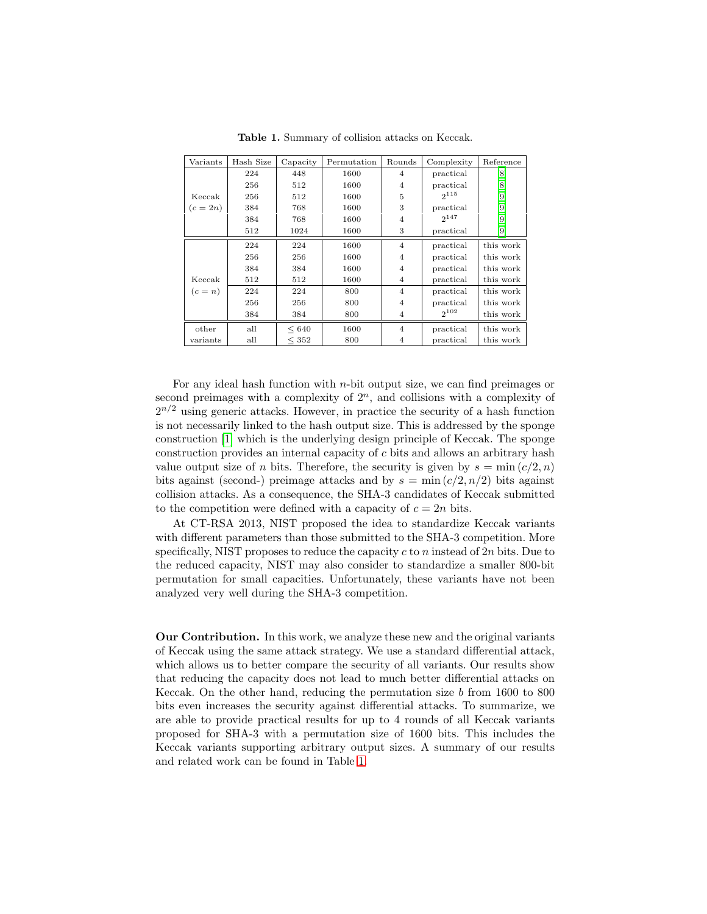| Variants | Hash Size | Capacity   | Permutation | Rounds         | Complexity | Reference |
|----------|-----------|------------|-------------|----------------|------------|-----------|
|          | 224       | 448        | 1600        | 4              | practical  | [8]       |
|          | 256       | 512        | 1600        | $\overline{4}$ | practical  | [8]       |
| Keccak   | 256       | 512        | 1600        | 5              | $2^{115}$  | $[9]$     |
| $(c=2n)$ | 384       | 768        | 1600        | 3              | practical  | $[9]$     |
|          | 384       | 768        | 1600        | $\overline{4}$ | $2^{147}$  | $[9]$     |
|          | 512       | 1024       | 1600        | 3              | practical  | $^{[9]}$  |
|          | 224       | 224        | 1600        | $\overline{4}$ | practical  | this work |
|          | 256       | 256        | 1600        | $\overline{4}$ | practical  | this work |
|          | 384       | 384        | 1600        | $\overline{4}$ | practical  | this work |
| Keccak   | 512       | 512        | 1600        | $\overline{4}$ | practical  | this work |
| $(c=n)$  | 224       | 224        | 800         | $\overline{4}$ | practical  | this work |
|          | 256       | 256        | 800         | $\overline{4}$ | practical  | this work |
|          | 384       | 384        | 800         | $\overline{4}$ | $2^{102}$  | this work |
| other    | all       | < 640      | 1600        | $\overline{4}$ | practical  | this work |
| variants | all       | $\leq 352$ | 800         | 4              | practical  | this work |

<span id="page-1-0"></span>Table 1. Summary of collision attacks on Keccak.

For any ideal hash function with  $n$ -bit output size, we can find preimages or second preimages with a complexity of  $2<sup>n</sup>$ , and collisions with a complexity of  $2^{n/2}$  using generic attacks. However, in practice the security of a hash function is not necessarily linked to the hash output size. This is addressed by the sponge construction [\[1\]](#page-11-3) which is the underlying design principle of Keccak. The sponge construction provides an internal capacity of c bits and allows an arbitrary hash value output size of n bits. Therefore, the security is given by  $s = \min(c/2, n)$ bits against (second-) preimage attacks and by  $s = \min(c/2, n/2)$  bits against collision attacks. As a consequence, the SHA-3 candidates of Keccak submitted to the competition were defined with a capacity of  $c = 2n$  bits.

At CT-RSA 2013, NIST proposed the idea to standardize Keccak variants with different parameters than those submitted to the SHA-3 competition. More specifically, NIST proposes to reduce the capacity  $c$  to  $n$  instead of  $2n$  bits. Due to the reduced capacity, NIST may also consider to standardize a smaller 800-bit permutation for small capacities. Unfortunately, these variants have not been analyzed very well during the SHA-3 competition.

Our Contribution. In this work, we analyze these new and the original variants of Keccak using the same attack strategy. We use a standard differential attack, which allows us to better compare the security of all variants. Our results show that reducing the capacity does not lead to much better differential attacks on Keccak. On the other hand, reducing the permutation size  $b$  from 1600 to 800 bits even increases the security against differential attacks. To summarize, we are able to provide practical results for up to 4 rounds of all Keccak variants proposed for SHA-3 with a permutation size of 1600 bits. This includes the Keccak variants supporting arbitrary output sizes. A summary of our results and related work can be found in Table [1.](#page-1-0)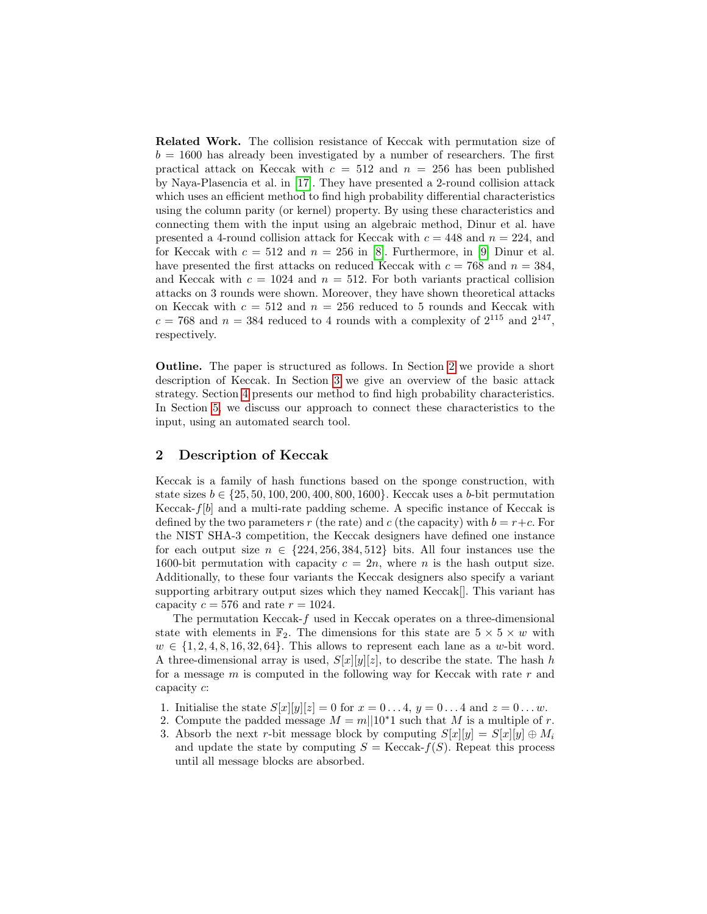Related Work. The collision resistance of Keccak with permutation size of  $b = 1600$  has already been investigated by a number of researchers. The first practical attack on Keccak with  $c = 512$  and  $n = 256$  has been published by Naya-Plasencia et al. in [\[17\]](#page-12-2). They have presented a 2-round collision attack which uses an efficient method to find high probability differential characteristics using the column parity (or kernel) property. By using these characteristics and connecting them with the input using an algebraic method, Dinur et al. have presented a 4-round collision attack for Keccak with  $c = 448$  and  $n = 224$ , and for Keccak with  $c = 512$  and  $n = 256$  in [\[8\]](#page-11-1). Furthermore, in [\[9\]](#page-11-2) Dinur et al. have presented the first attacks on reduced Keccak with  $c = 768$  and  $n = 384$ , and Keccak with  $c = 1024$  and  $n = 512$ . For both variants practical collision attacks on 3 rounds were shown. Moreover, they have shown theoretical attacks on Keccak with  $c = 512$  and  $n = 256$  reduced to 5 rounds and Keccak with  $c = 768$  and  $n = 384$  reduced to 4 rounds with a complexity of  $2^{115}$  and  $2^{147}$ , respectively.

Outline. The paper is structured as follows. In Section [2](#page-2-0) we provide a short description of Keccak. In Section [3](#page-4-0) we give an overview of the basic attack strategy. Section [4](#page-5-0) presents our method to find high probability characteristics. In Section [5,](#page-7-0) we discuss our approach to connect these characteristics to the input, using an automated search tool.

## <span id="page-2-0"></span>2 Description of Keccak

Keccak is a family of hash functions based on the sponge construction, with state sizes  $b \in \{25, 50, 100, 200, 400, 800, 1600\}$ . Keccak uses a b-bit permutation Keccak- $f[b]$  and a multi-rate padding scheme. A specific instance of Keccak is defined by the two parameters r (the rate) and c (the capacity) with  $b = r+c$ . For the NIST SHA-3 competition, the Keccak designers have defined one instance for each output size  $n \in \{224, 256, 384, 512\}$  bits. All four instances use the 1600-bit permutation with capacity  $c = 2n$ , where n is the hash output size. Additionally, to these four variants the Keccak designers also specify a variant supporting arbitrary output sizes which they named Keccak[]. This variant has capacity  $c = 576$  and rate  $r = 1024$ .

The permutation Keccak-f used in Keccak operates on a three-dimensional state with elements in  $\mathbb{F}_2$ . The dimensions for this state are  $5 \times 5 \times w$  with  $w \in \{1, 2, 4, 8, 16, 32, 64\}$ . This allows to represent each lane as a w-bit word. A three-dimensional array is used,  $S[x][y][z]$ , to describe the state. The hash h for a message  $m$  is computed in the following way for Keccak with rate  $r$  and capacity c:

- 1. Initialise the state  $S[x][y][z] = 0$  for  $x = 0...4$ ,  $y = 0...4$  and  $z = 0...w$ .
- 2. Compute the padded message  $M = m||10^*1$  such that M is a multiple of r.
- 3. Absorb the next r-bit message block by computing  $S[x][y] = S[x][y] \oplus M_i$ and update the state by computing  $S = \text{Keccak-}f(S)$ . Repeat this process until all message blocks are absorbed.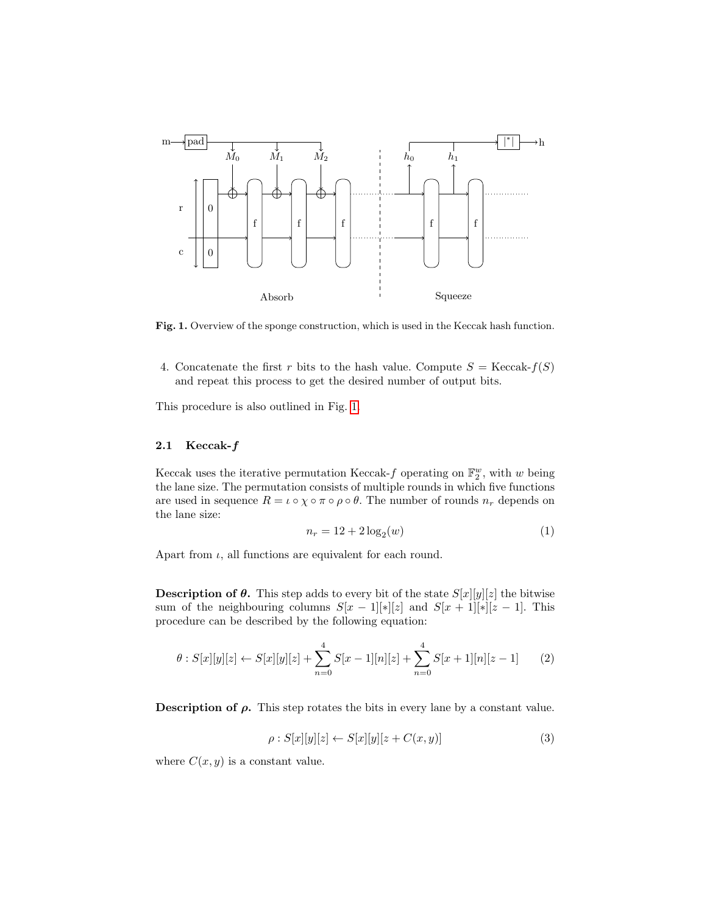

<span id="page-3-0"></span>Fig. 1. Overview of the sponge construction, which is used in the Keccak hash function.

4. Concatenate the first r bits to the hash value. Compute  $S = \text{Keccak-}f(S)$ and repeat this process to get the desired number of output bits.

This procedure is also outlined in Fig. [1.](#page-3-0)

## 2.1 Keccak-f

Keccak uses the iterative permutation Keccak- $f$  operating on  $\mathbb{F}_2^w$ , with w being the lane size. The permutation consists of multiple rounds in which five functions are used in sequence  $R = \iota \circ \chi \circ \pi \circ \rho \circ \theta$ . The number of rounds  $n_r$  depends on the lane size:

$$
n_r = 12 + 2\log_2(w) \tag{1}
$$

Apart from  $\iota$ , all functions are equivalent for each round.

**Description of**  $\theta$ **.** This step adds to every bit of the state  $S[x][y][z]$  the bitwise sum of the neighbouring columns  $S[x - 1][*][z]$  and  $S[x + 1][*][z - 1]$ . This procedure can be described by the following equation:

$$
\theta : S[x][y][z] \leftarrow S[x][y][z] + \sum_{n=0}^{4} S[x-1][n][z] + \sum_{n=0}^{4} S[x+1][n][z-1] \tag{2}
$$

**Description of**  $\rho$ **.** This step rotates the bits in every lane by a constant value.

$$
\rho: S[x][y][z] \leftarrow S[x][y][z + C(x, y)] \tag{3}
$$

where  $C(x, y)$  is a constant value.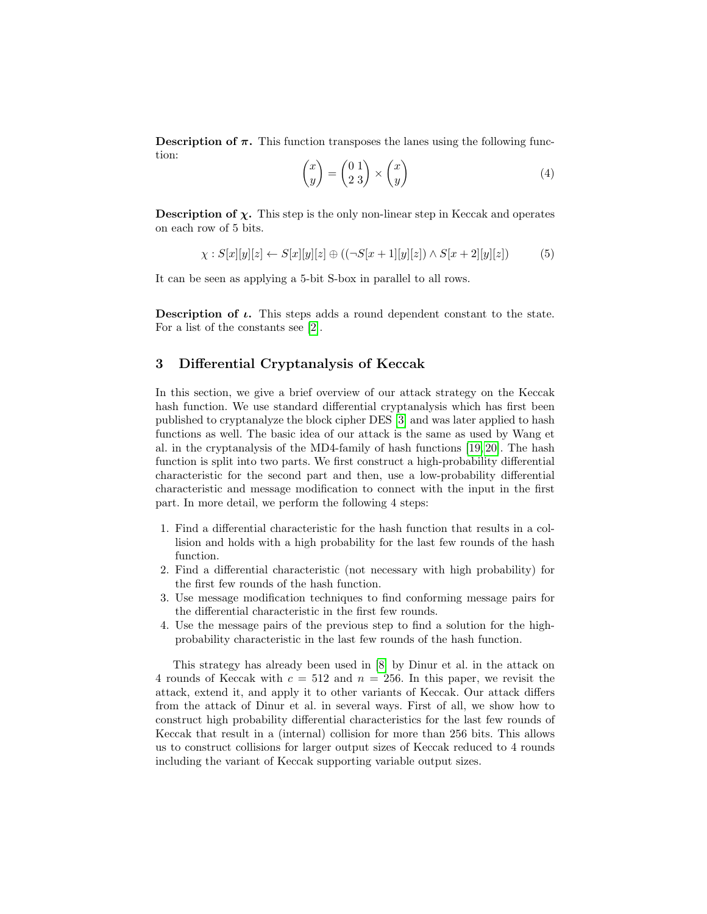**Description of**  $\pi$ **.** This function transposes the lanes using the following function:

$$
\begin{pmatrix} x \\ y \end{pmatrix} = \begin{pmatrix} 0 & 1 \\ 2 & 3 \end{pmatrix} \times \begin{pmatrix} x \\ y \end{pmatrix} \tag{4}
$$

**Description of**  $\chi$ **.** This step is the only non-linear step in Keccak and operates on each row of 5 bits.

$$
\chi: S[x][y][z] \leftarrow S[x][y][z] \oplus ((\neg S[x+1][y][z]) \wedge S[x+2][y][z]) \tag{5}
$$

It can be seen as applying a 5-bit S-box in parallel to all rows.

**Description of**  $\iota$ **.** This steps adds a round dependent constant to the state. For a list of the constants see [\[2\]](#page-11-0).

## <span id="page-4-0"></span>3 Differential Cryptanalysis of Keccak

In this section, we give a brief overview of our attack strategy on the Keccak hash function. We use standard differential cryptanalysis which has first been published to cryptanalyze the block cipher DES [\[3\]](#page-11-4) and was later applied to hash functions as well. The basic idea of our attack is the same as used by Wang et al. in the cryptanalysis of the MD4-family of hash functions [\[19,](#page-12-3) [20\]](#page-12-4). The hash function is split into two parts. We first construct a high-probability differential characteristic for the second part and then, use a low-probability differential characteristic and message modification to connect with the input in the first part. In more detail, we perform the following 4 steps:

- 1. Find a differential characteristic for the hash function that results in a collision and holds with a high probability for the last few rounds of the hash function.
- 2. Find a differential characteristic (not necessary with high probability) for the first few rounds of the hash function.
- 3. Use message modification techniques to find conforming message pairs for the differential characteristic in the first few rounds.
- 4. Use the message pairs of the previous step to find a solution for the highprobability characteristic in the last few rounds of the hash function.

This strategy has already been used in [\[8\]](#page-11-1) by Dinur et al. in the attack on 4 rounds of Keccak with  $c = 512$  and  $n = 256$ . In this paper, we revisit the attack, extend it, and apply it to other variants of Keccak. Our attack differs from the attack of Dinur et al. in several ways. First of all, we show how to construct high probability differential characteristics for the last few rounds of Keccak that result in a (internal) collision for more than 256 bits. This allows us to construct collisions for larger output sizes of Keccak reduced to 4 rounds including the variant of Keccak supporting variable output sizes.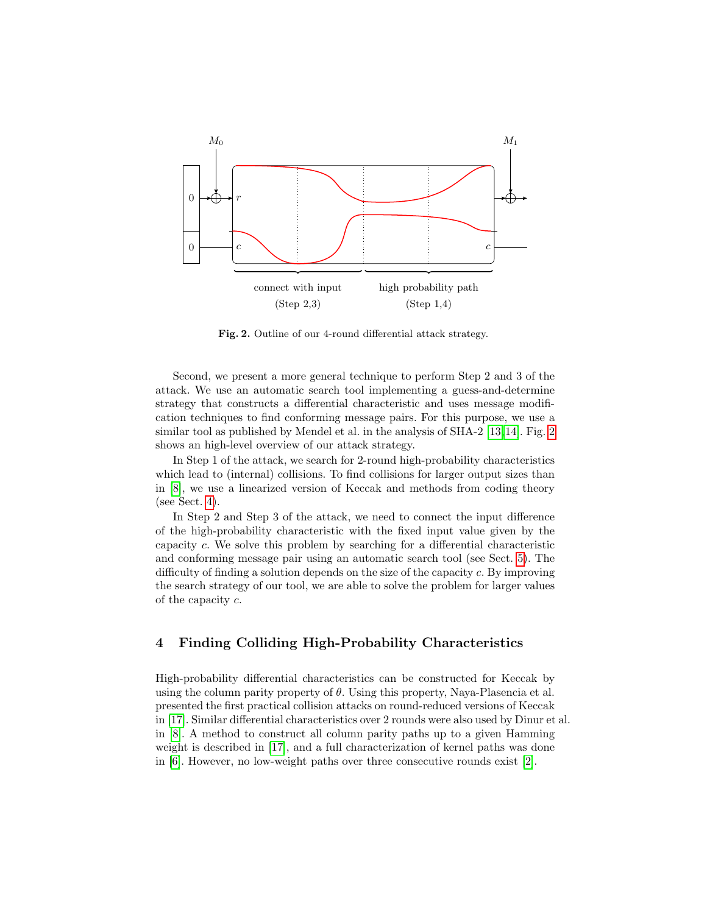

<span id="page-5-1"></span>Fig. 2. Outline of our 4-round differential attack strategy.

Second, we present a more general technique to perform Step 2 and 3 of the attack. We use an automatic search tool implementing a guess-and-determine strategy that constructs a differential characteristic and uses message modification techniques to find conforming message pairs. For this purpose, we use a similar tool as published by Mendel et al. in the analysis of SHA-2 [\[13,](#page-11-5)[14\]](#page-11-6). Fig. [2](#page-5-1) shows an high-level overview of our attack strategy.

In Step 1 of the attack, we search for 2-round high-probability characteristics which lead to (internal) collisions. To find collisions for larger output sizes than in [\[8\]](#page-11-1), we use a linearized version of Keccak and methods from coding theory (see Sect. [4\)](#page-5-0).

In Step 2 and Step 3 of the attack, we need to connect the input difference of the high-probability characteristic with the fixed input value given by the capacity c. We solve this problem by searching for a differential characteristic and conforming message pair using an automatic search tool (see Sect. [5\)](#page-7-0). The difficulty of finding a solution depends on the size of the capacity c. By improving the search strategy of our tool, we are able to solve the problem for larger values of the capacity c.

## <span id="page-5-0"></span>4 Finding Colliding High-Probability Characteristics

High-probability differential characteristics can be constructed for Keccak by using the column parity property of  $\theta$ . Using this property, Naya-Plasencia et al. presented the first practical collision attacks on round-reduced versions of Keccak in [\[17\]](#page-12-2). Similar differential characteristics over 2 rounds were also used by Dinur et al. in [\[8\]](#page-11-1). A method to construct all column parity paths up to a given Hamming weight is described in [\[17\]](#page-12-2), and a full characterization of kernel paths was done in [\[6\]](#page-11-7). However, no low-weight paths over three consecutive rounds exist [\[2\]](#page-11-0).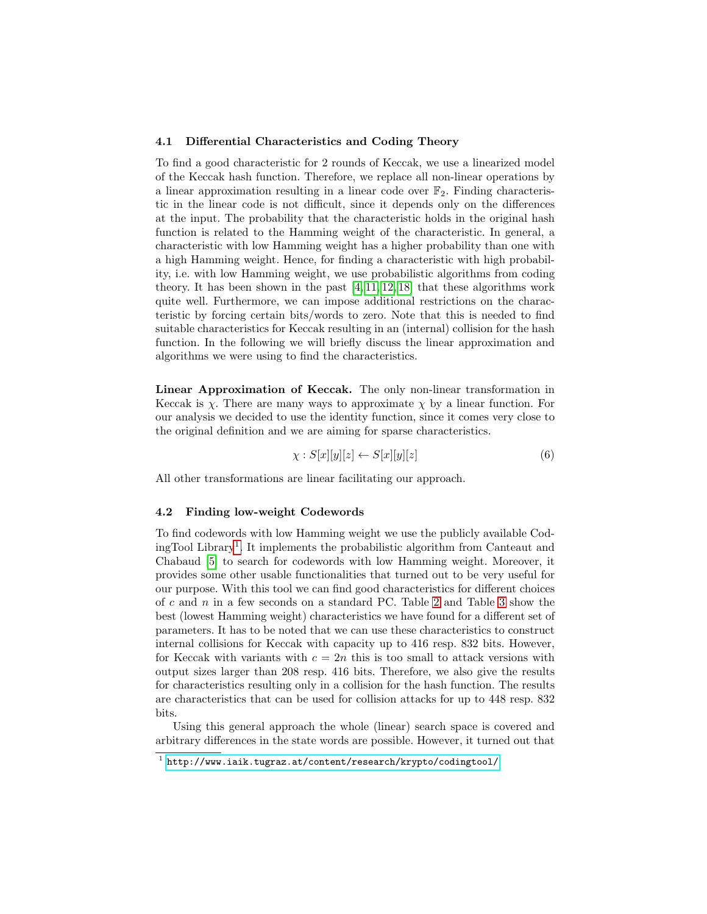#### 4.1 Differential Characteristics and Coding Theory

To find a good characteristic for 2 rounds of Keccak, we use a linearized model of the Keccak hash function. Therefore, we replace all non-linear operations by a linear approximation resulting in a linear code over  $\mathbb{F}_2$ . Finding characteristic in the linear code is not difficult, since it depends only on the differences at the input. The probability that the characteristic holds in the original hash function is related to the Hamming weight of the characteristic. In general, a characteristic with low Hamming weight has a higher probability than one with a high Hamming weight. Hence, for finding a characteristic with high probability, i.e. with low Hamming weight, we use probabilistic algorithms from coding theory. It has been shown in the past [\[4,](#page-11-8) [11,](#page-11-9) [12,](#page-11-10) [18\]](#page-12-5) that these algorithms work quite well. Furthermore, we can impose additional restrictions on the characteristic by forcing certain bits/words to zero. Note that this is needed to find suitable characteristics for Keccak resulting in an (internal) collision for the hash function. In the following we will briefly discuss the linear approximation and algorithms we were using to find the characteristics.

Linear Approximation of Keccak. The only non-linear transformation in Keccak is  $\chi$ . There are many ways to approximate  $\chi$  by a linear function. For our analysis we decided to use the identity function, since it comes very close to the original definition and we are aiming for sparse characteristics.

$$
\chi: S[x][y][z] \leftarrow S[x][y][z] \tag{6}
$$

All other transformations are linear facilitating our approach.

#### 4.2 Finding low-weight Codewords

To find codewords with low Hamming weight we use the publicly available CodingTool Library[1](#page-6-0) . It implements the probabilistic algorithm from Canteaut and Chabaud [\[5\]](#page-11-11) to search for codewords with low Hamming weight. Moreover, it provides some other usable functionalities that turned out to be very useful for our purpose. With this tool we can find good characteristics for different choices of  $c$  and  $n$  in a few seconds on a standard PC. Table [2](#page-7-1) and Table [3](#page-7-2) show the best (lowest Hamming weight) characteristics we have found for a different set of parameters. It has to be noted that we can use these characteristics to construct internal collisions for Keccak with capacity up to 416 resp. 832 bits. However, for Keccak with variants with  $c = 2n$  this is too small to attack versions with output sizes larger than 208 resp. 416 bits. Therefore, we also give the results for characteristics resulting only in a collision for the hash function. The results are characteristics that can be used for collision attacks for up to 448 resp. 832 bits.

Using this general approach the whole (linear) search space is covered and arbitrary differences in the state words are possible. However, it turned out that

<span id="page-6-0"></span> $^{\rm 1}$  [http://www.iaik.tugraz.at/content/research/krypto/codingtool/]( http://www.iaik.tugraz.at/content/research/krypto/codingtool/)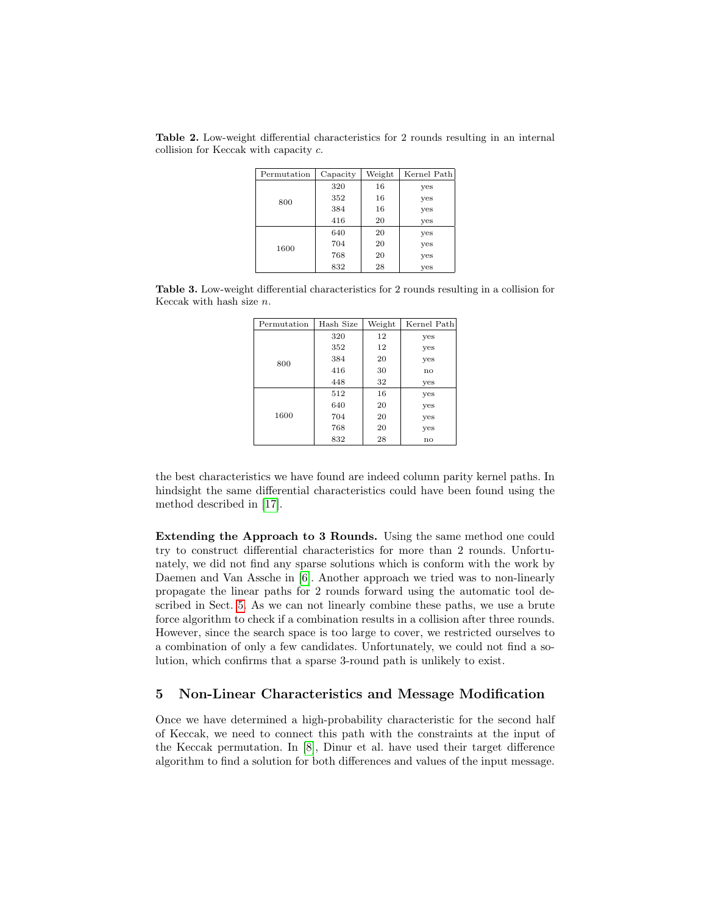<span id="page-7-1"></span>Table 2. Low-weight differential characteristics for 2 rounds resulting in an internal collision for Keccak with capacity c.

| Permutation | Capacity | Weight | Kernel Path |
|-------------|----------|--------|-------------|
|             | 320      | 16     | yes         |
| 800         | 352      | 16     | yes         |
|             | 384      | 16     | yes         |
|             | 416      | 20     | yes         |
|             | 640      | 20     | yes         |
| 1600        | 704      | 20     | yes         |
|             | 768      | 20     | yes         |
|             | 832      | 28     | yes         |

<span id="page-7-2"></span>Table 3. Low-weight differential characteristics for 2 rounds resulting in a collision for Keccak with hash size  $n$ .

| Permutation | Hash Size | Weight | Kernel Path   |  |  |  |  |  |  |
|-------------|-----------|--------|---------------|--|--|--|--|--|--|
|             | 320       | 12     | yes           |  |  |  |  |  |  |
|             | 352       | 12     | yes           |  |  |  |  |  |  |
| 800         | 384       | 20     | yes           |  |  |  |  |  |  |
|             | 416       | 30     | $\mathbf{no}$ |  |  |  |  |  |  |
|             | 448       | 32     | yes           |  |  |  |  |  |  |
|             | 512       | 16     | yes           |  |  |  |  |  |  |
|             | 640       | 20     | yes           |  |  |  |  |  |  |
| 1600        | 704       | 20     | yes           |  |  |  |  |  |  |
|             | 768       | 20     | yes           |  |  |  |  |  |  |
|             | 832       | 28     | $\mathbf{n}$  |  |  |  |  |  |  |

the best characteristics we have found are indeed column parity kernel paths. In hindsight the same differential characteristics could have been found using the method described in [\[17\]](#page-12-2).

Extending the Approach to 3 Rounds. Using the same method one could try to construct differential characteristics for more than 2 rounds. Unfortunately, we did not find any sparse solutions which is conform with the work by Daemen and Van Assche in [\[6\]](#page-11-7). Another approach we tried was to non-linearly propagate the linear paths for 2 rounds forward using the automatic tool described in Sect. [5.](#page-7-0) As we can not linearly combine these paths, we use a brute force algorithm to check if a combination results in a collision after three rounds. However, since the search space is too large to cover, we restricted ourselves to a combination of only a few candidates. Unfortunately, we could not find a solution, which confirms that a sparse 3-round path is unlikely to exist.

## <span id="page-7-0"></span>5 Non-Linear Characteristics and Message Modification

Once we have determined a high-probability characteristic for the second half of Keccak, we need to connect this path with the constraints at the input of the Keccak permutation. In [\[8\]](#page-11-1), Dinur et al. have used their target difference algorithm to find a solution for both differences and values of the input message.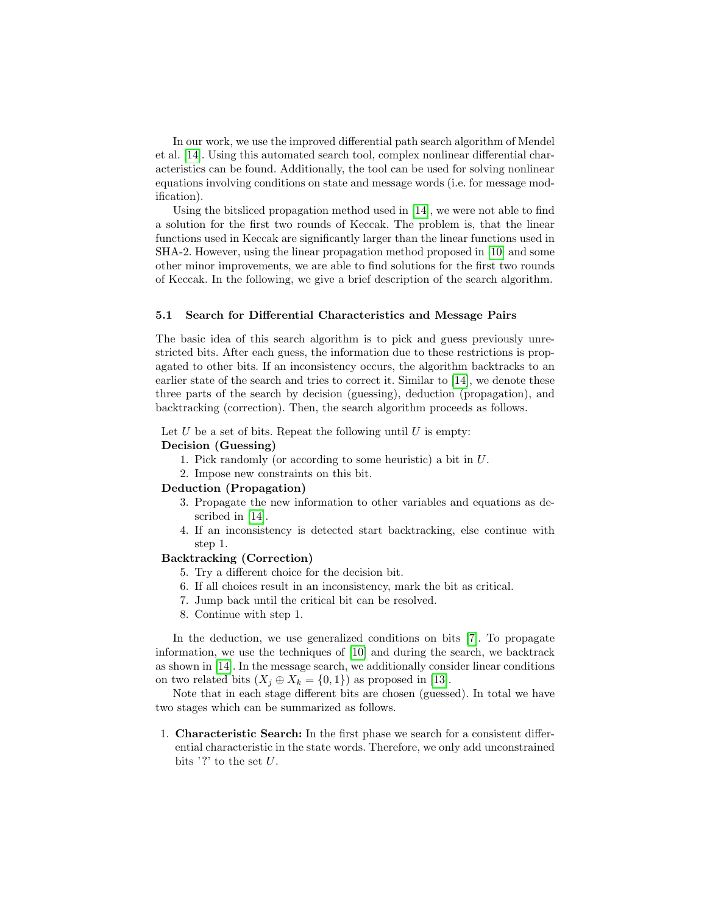In our work, we use the improved differential path search algorithm of Mendel et al. [\[14\]](#page-11-6). Using this automated search tool, complex nonlinear differential characteristics can be found. Additionally, the tool can be used for solving nonlinear equations involving conditions on state and message words (i.e. for message modification).

Using the bitsliced propagation method used in [\[14\]](#page-11-6), we were not able to find a solution for the first two rounds of Keccak. The problem is, that the linear functions used in Keccak are significantly larger than the linear functions used in SHA-2. However, using the linear propagation method proposed in [\[10\]](#page-11-12) and some other minor improvements, we are able to find solutions for the first two rounds of Keccak. In the following, we give a brief description of the search algorithm.

#### 5.1 Search for Differential Characteristics and Message Pairs

The basic idea of this search algorithm is to pick and guess previously unrestricted bits. After each guess, the information due to these restrictions is propagated to other bits. If an inconsistency occurs, the algorithm backtracks to an earlier state of the search and tries to correct it. Similar to [\[14\]](#page-11-6), we denote these three parts of the search by decision (guessing), deduction (propagation), and backtracking (correction). Then, the search algorithm proceeds as follows.

Let  $U$  be a set of bits. Repeat the following until  $U$  is empty:

### Decision (Guessing)

- 1. Pick randomly (or according to some heuristic) a bit in U.
- 2. Impose new constraints on this bit.

#### Deduction (Propagation)

- 3. Propagate the new information to other variables and equations as described in [\[14\]](#page-11-6).
- 4. If an inconsistency is detected start backtracking, else continue with step 1.

### Backtracking (Correction)

- 5. Try a different choice for the decision bit.
- 6. If all choices result in an inconsistency, mark the bit as critical.
- 7. Jump back until the critical bit can be resolved.
- 8. Continue with step 1.

In the deduction, we use generalized conditions on bits [\[7\]](#page-11-13). To propagate information, we use the techniques of [\[10\]](#page-11-12) and during the search, we backtrack as shown in [\[14\]](#page-11-6). In the message search, we additionally consider linear conditions on two related bits  $(X_i \oplus X_k = \{0,1\})$  as proposed in [\[13\]](#page-11-5).

Note that in each stage different bits are chosen (guessed). In total we have two stages which can be summarized as follows.

1. Characteristic Search: In the first phase we search for a consistent differential characteristic in the state words. Therefore, we only add unconstrained bits '?' to the set  $U$ .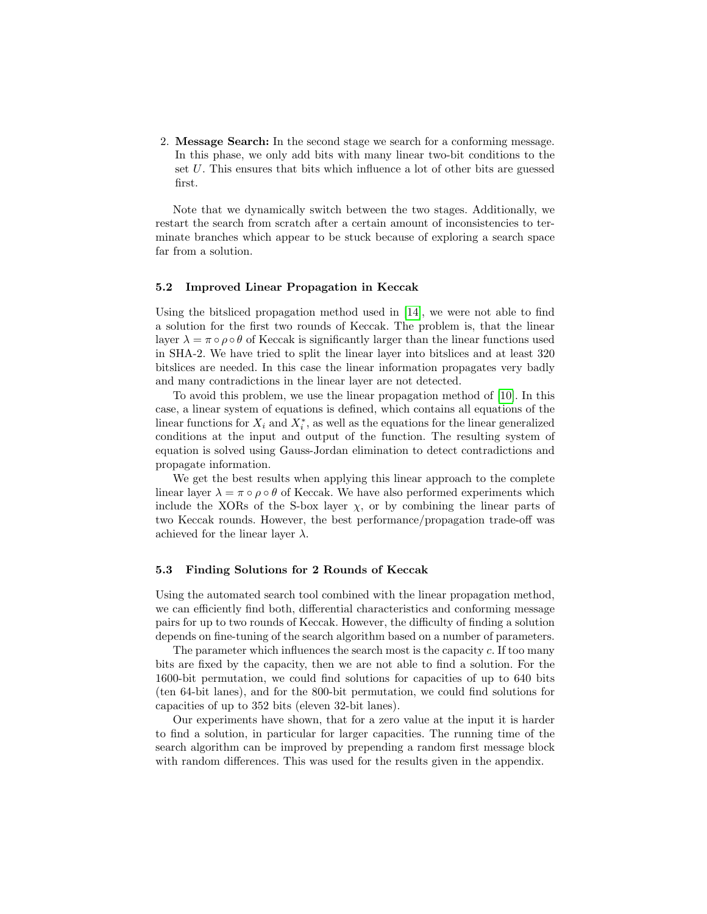2. Message Search: In the second stage we search for a conforming message. In this phase, we only add bits with many linear two-bit conditions to the set U. This ensures that bits which influence a lot of other bits are guessed first.

Note that we dynamically switch between the two stages. Additionally, we restart the search from scratch after a certain amount of inconsistencies to terminate branches which appear to be stuck because of exploring a search space far from a solution.

### 5.2 Improved Linear Propagation in Keccak

Using the bitsliced propagation method used in [\[14\]](#page-11-6), we were not able to find a solution for the first two rounds of Keccak. The problem is, that the linear layer  $\lambda = \pi \circ \rho \circ \theta$  of Keccak is significantly larger than the linear functions used in SHA-2. We have tried to split the linear layer into bitslices and at least 320 bitslices are needed. In this case the linear information propagates very badly and many contradictions in the linear layer are not detected.

To avoid this problem, we use the linear propagation method of [\[10\]](#page-11-12). In this case, a linear system of equations is defined, which contains all equations of the linear functions for  $X_i$  and  $X_i^*$ , as well as the equations for the linear generalized conditions at the input and output of the function. The resulting system of equation is solved using Gauss-Jordan elimination to detect contradictions and propagate information.

We get the best results when applying this linear approach to the complete linear layer  $\lambda = \pi \circ \rho \circ \theta$  of Keccak. We have also performed experiments which include the XORs of the S-box layer  $\chi$ , or by combining the linear parts of two Keccak rounds. However, the best performance/propagation trade-off was achieved for the linear layer  $\lambda$ .

#### 5.3 Finding Solutions for 2 Rounds of Keccak

Using the automated search tool combined with the linear propagation method, we can efficiently find both, differential characteristics and conforming message pairs for up to two rounds of Keccak. However, the difficulty of finding a solution depends on fine-tuning of the search algorithm based on a number of parameters.

The parameter which influences the search most is the capacity c. If too many bits are fixed by the capacity, then we are not able to find a solution. For the 1600-bit permutation, we could find solutions for capacities of up to 640 bits (ten 64-bit lanes), and for the 800-bit permutation, we could find solutions for capacities of up to 352 bits (eleven 32-bit lanes).

Our experiments have shown, that for a zero value at the input it is harder to find a solution, in particular for larger capacities. The running time of the search algorithm can be improved by prepending a random first message block with random differences. This was used for the results given in the appendix.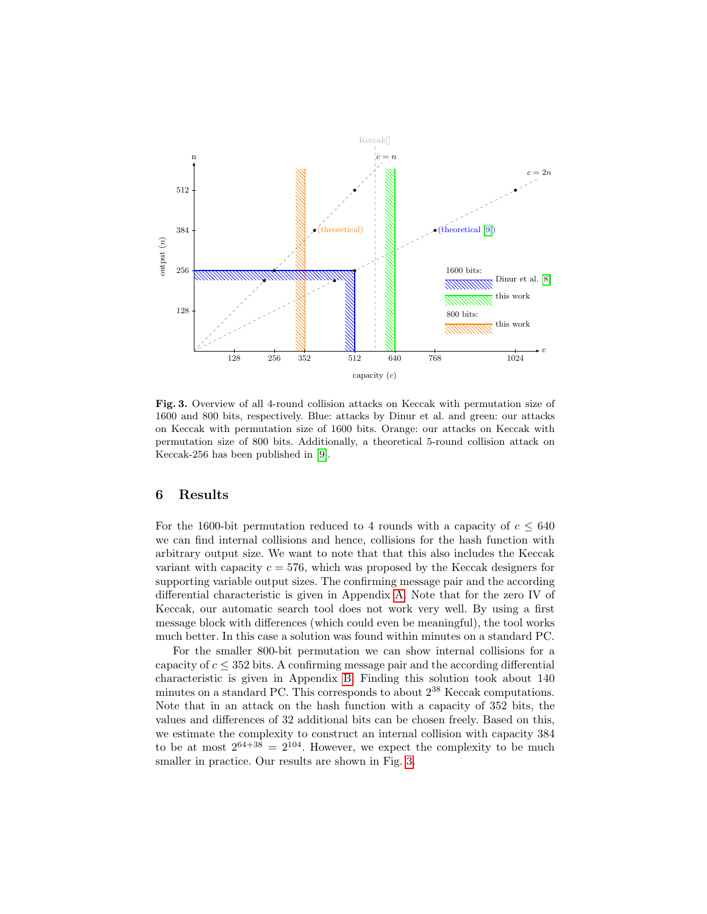

<span id="page-10-0"></span>Fig. 3. Overview of all 4-round collision attacks on Keccak with permutation size of 1600 and 800 bits, respectively. Blue: attacks by Dinur et al. and green: our attacks on Keccak with permutation size of 1600 bits. Orange: our attacks on Keccak with permutation size of 800 bits. Additionally, a theoretical 5-round collision attack on Keccak-256 has been published in [\[9\]](#page-11-2).

## 6 Results

For the 1600-bit permutation reduced to 4 rounds with a capacity of  $c \leq 640$ we can find internal collisions and hence, collisions for the hash function with arbitrary output size. We want to note that that this also includes the Keccak variant with capacity  $c = 576$ , which was proposed by the Keccak designers for supporting variable output sizes. The confirming message pair and the according differential characteristic is given in Appendix [A.](#page-12-6) Note that for the zero IV of Keccak, our automatic search tool does not work very well. By using a first message block with differences (which could even be meaningful), the tool works much better. In this case a solution was found within minutes on a standard PC.

For the smaller 800-bit permutation we can show internal collisions for a capacity of  $c \leq 352$  bits. A confirming message pair and the according differential characteristic is given in Appendix [B.](#page-14-0) Finding this solution took about 140 minutes on a standard PC. This corresponds to about 2<sup>38</sup> Keccak computations. Note that in an attack on the hash function with a capacity of 352 bits, the values and differences of 32 additional bits can be chosen freely. Based on this, we estimate the complexity to construct an internal collision with capacity 384 to be at most  $2^{64+38} = 2^{104}$ . However, we expect the complexity to be much smaller in practice. Our results are shown in Fig. [3.](#page-10-0)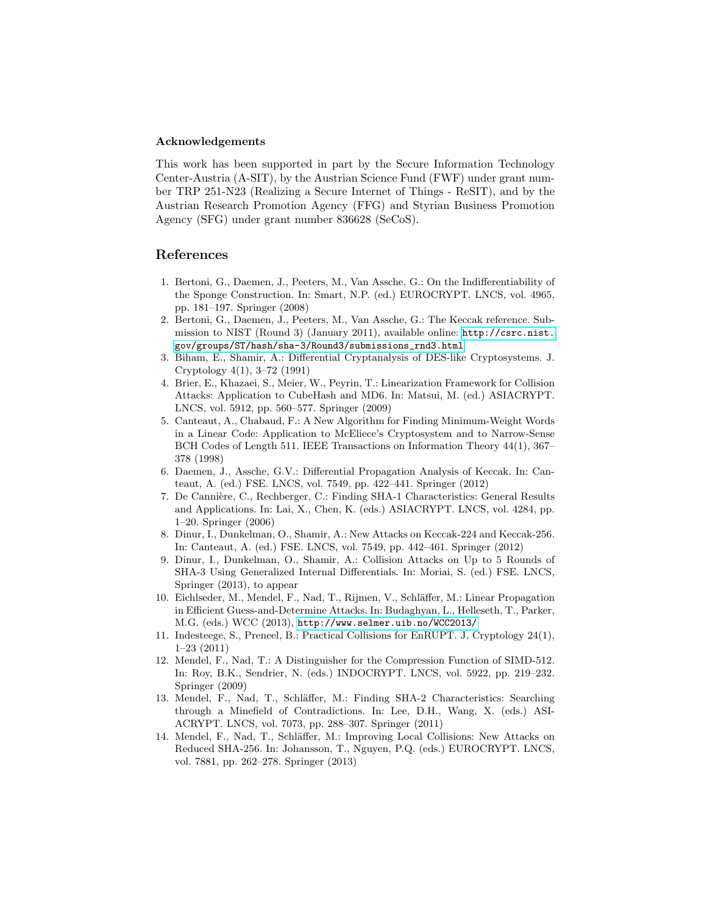#### Acknowledgements

This work has been supported in part by the Secure Information Technology Center-Austria (A-SIT), by the Austrian Science Fund (FWF) under grant number TRP 251-N23 (Realizing a Secure Internet of Things - ReSIT), and by the Austrian Research Promotion Agency (FFG) and Styrian Business Promotion Agency (SFG) under grant number 836628 (SeCoS).

## References

- <span id="page-11-3"></span>1. Bertoni, G., Daemen, J., Peeters, M., Van Assche, G.: On the Indifferentiability of the Sponge Construction. In: Smart, N.P. (ed.) EUROCRYPT. LNCS, vol. 4965, pp. 181–197. Springer (2008)
- <span id="page-11-0"></span>2. Bertoni, G., Daemen, J., Peeters, M., Van Assche, G.: The Keccak reference. Submission to NIST (Round 3) (January 2011), available online: [http://csrc.nist.](http://csrc.nist.gov/groups/ST/hash/sha-3/Round3/submissions_rnd3.html) [gov/groups/ST/hash/sha-3/Round3/submissions\\_rnd3.html](http://csrc.nist.gov/groups/ST/hash/sha-3/Round3/submissions_rnd3.html)
- <span id="page-11-4"></span>3. Biham, E., Shamir, A.: Differential Cryptanalysis of DES-like Cryptosystems. J. Cryptology 4(1), 3–72 (1991)
- <span id="page-11-8"></span>4. Brier, E., Khazaei, S., Meier, W., Peyrin, T.: Linearization Framework for Collision Attacks: Application to CubeHash and MD6. In: Matsui, M. (ed.) ASIACRYPT. LNCS, vol. 5912, pp. 560–577. Springer (2009)
- <span id="page-11-11"></span>5. Canteaut, A., Chabaud, F.: A New Algorithm for Finding Minimum-Weight Words in a Linear Code: Application to McEliece's Cryptosystem and to Narrow-Sense BCH Codes of Length 511. IEEE Transactions on Information Theory 44(1), 367– 378 (1998)
- <span id="page-11-7"></span>6. Daemen, J., Assche, G.V.: Differential Propagation Analysis of Keccak. In: Canteaut, A. (ed.) FSE. LNCS, vol. 7549, pp. 422–441. Springer (2012)
- <span id="page-11-13"></span>7. De Cannière, C., Rechberger, C.: Finding SHA-1 Characteristics: General Results and Applications. In: Lai, X., Chen, K. (eds.) ASIACRYPT. LNCS, vol. 4284, pp. 1–20. Springer (2006)
- <span id="page-11-1"></span>8. Dinur, I., Dunkelman, O., Shamir, A.: New Attacks on Keccak-224 and Keccak-256. In: Canteaut, A. (ed.) FSE. LNCS, vol. 7549, pp. 442–461. Springer (2012)
- <span id="page-11-2"></span>9. Dinur, I., Dunkelman, O., Shamir, A.: Collision Attacks on Up to 5 Rounds of SHA-3 Using Generalized Internal Differentials. In: Moriai, S. (ed.) FSE. LNCS, Springer (2013), to appear
- <span id="page-11-12"></span>10. Eichlseder, M., Mendel, F., Nad, T., Rijmen, V., Schläffer, M.: Linear Propagation in Efficient Guess-and-Determine Attacks. In: Budaghyan, L., Helleseth, T., Parker, M.G. (eds.) WCC (2013), <http://www.selmer.uib.no/WCC2013/>
- <span id="page-11-9"></span>11. Indesteege, S., Preneel, B.: Practical Collisions for EnRUPT. J. Cryptology 24(1), 1–23 (2011)
- <span id="page-11-10"></span>12. Mendel, F., Nad, T.: A Distinguisher for the Compression Function of SIMD-512. In: Roy, B.K., Sendrier, N. (eds.) INDOCRYPT. LNCS, vol. 5922, pp. 219–232. Springer (2009)
- <span id="page-11-5"></span>13. Mendel, F., Nad, T., Schläffer, M.: Finding SHA-2 Characteristics: Searching through a Minefield of Contradictions. In: Lee, D.H., Wang, X. (eds.) ASI-ACRYPT. LNCS, vol. 7073, pp. 288–307. Springer (2011)
- <span id="page-11-6"></span>14. Mendel, F., Nad, T., Schläffer, M.: Improving Local Collisions: New Attacks on Reduced SHA-256. In: Johansson, T., Nguyen, P.Q. (eds.) EUROCRYPT. LNCS, vol. 7881, pp. 262–278. Springer (2013)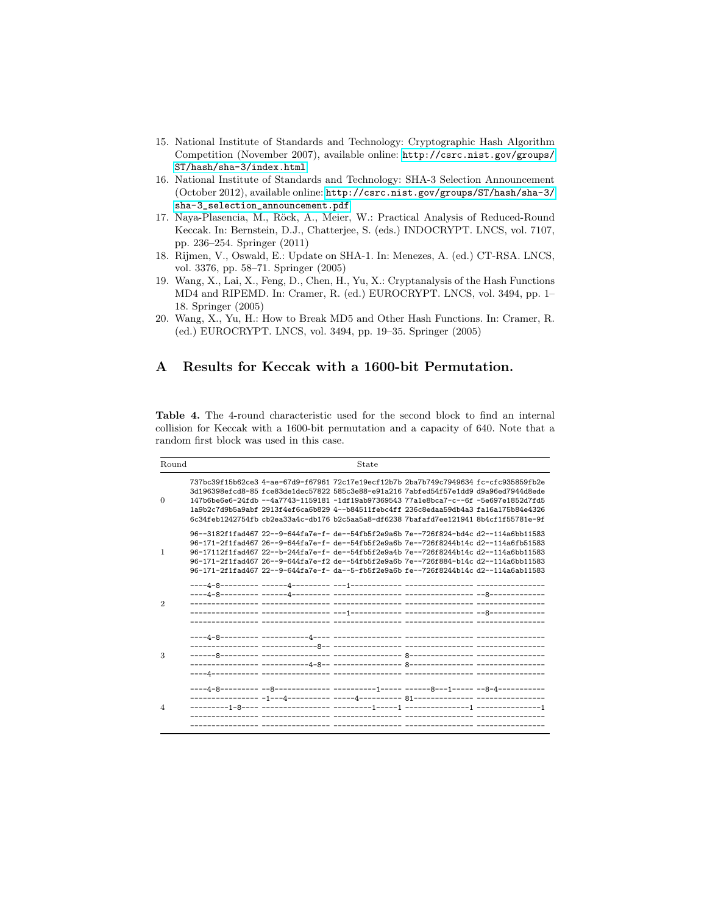- <span id="page-12-1"></span>15. National Institute of Standards and Technology: Cryptographic Hash Algorithm Competition (November 2007), available online: [http://csrc.nist.gov/groups/](http://csrc.nist.gov/groups/ST/hash/sha-3/index.html) [ST/hash/sha-3/index.html](http://csrc.nist.gov/groups/ST/hash/sha-3/index.html)
- <span id="page-12-0"></span>16. National Institute of Standards and Technology: SHA-3 Selection Announcement (October 2012), available online: [http://csrc.nist.gov/groups/ST/hash/sha-3/](http://csrc.nist.gov/groups/ST/hash/sha-3/sha-3_selection_announcement.pdf) [sha-3\\_selection\\_announcement.pdf](http://csrc.nist.gov/groups/ST/hash/sha-3/sha-3_selection_announcement.pdf)
- <span id="page-12-2"></span>17. Naya-Plasencia, M., Röck, A., Meier, W.: Practical Analysis of Reduced-Round Keccak. In: Bernstein, D.J., Chatterjee, S. (eds.) INDOCRYPT. LNCS, vol. 7107, pp. 236–254. Springer (2011)
- <span id="page-12-5"></span>18. Rijmen, V., Oswald, E.: Update on SHA-1. In: Menezes, A. (ed.) CT-RSA. LNCS, vol. 3376, pp. 58–71. Springer (2005)
- <span id="page-12-3"></span>19. Wang, X., Lai, X., Feng, D., Chen, H., Yu, X.: Cryptanalysis of the Hash Functions MD4 and RIPEMD. In: Cramer, R. (ed.) EUROCRYPT. LNCS, vol. 3494, pp. 1– 18. Springer (2005)
- <span id="page-12-4"></span>20. Wang, X., Yu, H.: How to Break MD5 and Other Hash Functions. In: Cramer, R. (ed.) EUROCRYPT. LNCS, vol. 3494, pp. 19–35. Springer (2005)

## <span id="page-12-6"></span>A Results for Keccak with a 1600-bit Permutation.

Table 4. The 4-round characteristic used for the second block to find an internal collision for Keccak with a 1600-bit permutation and a capacity of 640. Note that a random first block was used in this case.

| Round          | State                                                                                                                                                                                                                                                                                                                                                                                                                                                |
|----------------|------------------------------------------------------------------------------------------------------------------------------------------------------------------------------------------------------------------------------------------------------------------------------------------------------------------------------------------------------------------------------------------------------------------------------------------------------|
| $\Omega$       | 737bc39f15b62ce3 4-ae-67d9-f67961 72c17e19ecf12b7b 2ba7b749c7949634 fc-cfc935859fb2e<br>3d196398efcd8-85 fce83de1dec57822 585c3e88-e91a216 7abfed54f57e1dd9 d9a96ed7944d8ede<br>147b6be6e6-24fdb --4a7743-1159181 -1df19ab97369543 77a1e8bca7-c--6f -5e697e1852d7fd5<br>1a9b2c7d9b5a9abf 2913f4ef6ca6b829 4--b84511febc4ff 236c8edaa59db4a3 fa16a175b84e4326<br>6c34feb1242754fb cb2ea33a4c-db176 b2c5aa5a8-df6238 7bafafd7ee121941 8b4cf1f55781e-9f |
| -1             | 96--3182f1fad467 22--9-644fa7e-f- de--54fb5f2e9a6b 7e--726f824-bd4c d2--114a6bb11583<br>96-171-2f1fad467 26--9-644fa7e-f- de--54fb5f2e9a6b 7e--726f8244b14c d2--114a6fb51583<br>96-17112f1fad467 22--b-244fa7e-f- de--54fb5f2e9a4b 7e--726f8244b14c d2--114a6bb11583<br>96-171-2f1fad467 26--9-644fa7e-f2 de--54fb5f2e9a6b 7e--726f884-b14c d2--114a6bb11583<br>96-171-2f1fad467 22--9-644fa7e-f- da--5-fb5f2e9a6b fe--726f8244b14c d2--114a6ab11583 |
| $\mathcal{D}$  |                                                                                                                                                                                                                                                                                                                                                                                                                                                      |
| 3              |                                                                                                                                                                                                                                                                                                                                                                                                                                                      |
| $\overline{4}$ |                                                                                                                                                                                                                                                                                                                                                                                                                                                      |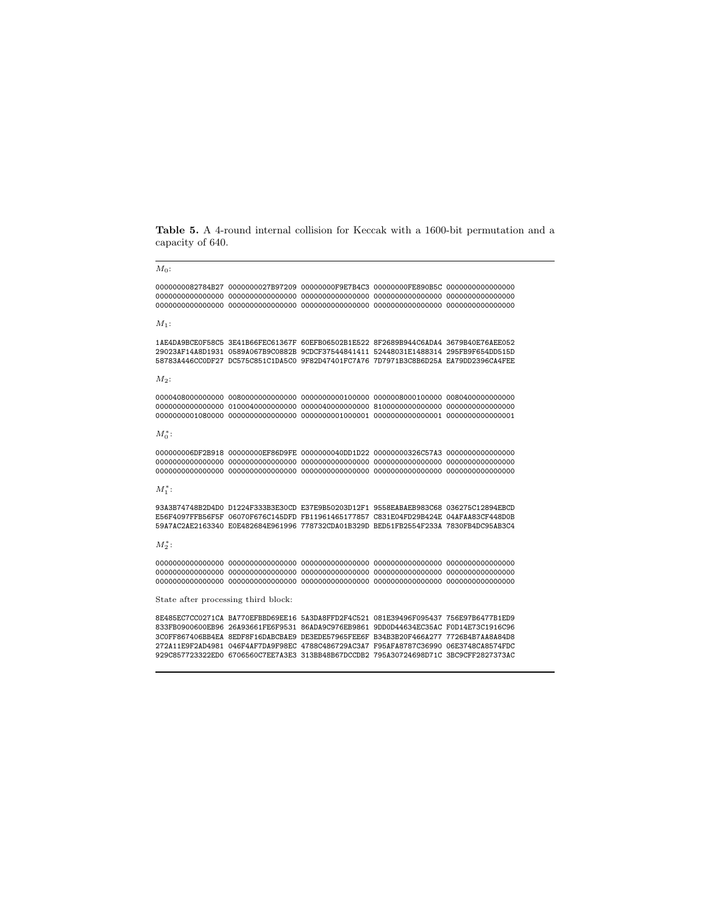Table 5. A 4-round internal collision for Keccak with a 1600-bit permutation and a capacity of 640.

 $M_0$ :

0000000082784B27 0000000027B97209 00000000F9E7B4C3 00000000FE890B5C 0000000000000000 0000000000000000 0000000000000000 0000000000000000 0000000000000000 0000000000000000 0000000000000000 0000000000000000 0000000000000000 0000000000000000 0000000000000000

#### $M_1$ :

1AE4DA9BCE0F58C5 3E41B66FEC61367F 60EFB06502B1E522 8F2689B944C6ADA4 3679B40E76AEE052 29023AF14A8D1931 0589A067B9C0882B 9CDCF37544841411 52448031E1488314 295FB9F654DD515D 58783A446CC0DF27 DC575C851C1DA5C0 9F82D47401FC7A76 7D7971B3C8B6D25A EA79DD2396CA4FEE

#### $M_{2}$ :

0000408000000000 0080000000000000 0000000000100000 0000008000100000 0080400000000000 0000000000000000 0100040000000000 0000040000000000 8100000000000000 0000000000000000 0000000001080000 0000000000000000 0000000001000001 0000000000000001 0000000000000001

#### $M_0^*$ :

000000006DF2B918 00000000EF86D9FE 0000000040DD1D22 00000000326C57A3 0000000000000000 0000000000000000 0000000000000000 0000000000000000 0000000000000000 0000000000000000 0000000000000000 0000000000000000 0000000000000000 0000000000000000 0000000000000000

#### $M_1^*$ :

93A3B74748B2D4D0 D1224F333B3E30CD E37E9B50203D12F1 9558EABAEB983C68 036275C12894EBCD E56F4097FFB56F5F 06070F676C145DFD FB11961465177857 C831E04FD29B424E 04AFAA83CF448D0B 59A7AC2AE2163340 E0E482684E961996 778732CDA01B329D BED51FB2554F233A 7830FB4DC95AB3C4

#### $M_2^*$ :

0000000000000000 0000000000000000 0000000000000000 0000000000000000 0000000000000000 0000000000000000 0000000000000000 0000000000000000 0000000000000000 0000000000000000 0000000000000000 0000000000000000 0000000000000000 0000000000000000 0000000000000000

State after processing third block:

8E485EC7CC0271CA BA770EFBBD69EE16 5A3DA8FFD2F4C521 081E39496F095437 756E97B6477B1ED9 833FB0900600EB96 26A93661FE6F9531 86ADA9C976EB9861 9DD0D44634EC35AC F0D14E73C1916C96 3C0FF867406BB4EA 8EDF8F16DABCBAE9 DE3EDE57965FEE6F B34B3B20F466A277 7726B4B7AA8A84D8 272A11E9F2AD4981 046F4AF7DA9F98EC 4788C486729AC3A7 F95AFA8787C36990 06E3748CA8574FDC 929C857723322ED0 6706560C7EE7A3E3 313BB48B67DCCDB2 795A30724698D71C 3BC9CFF2827373AC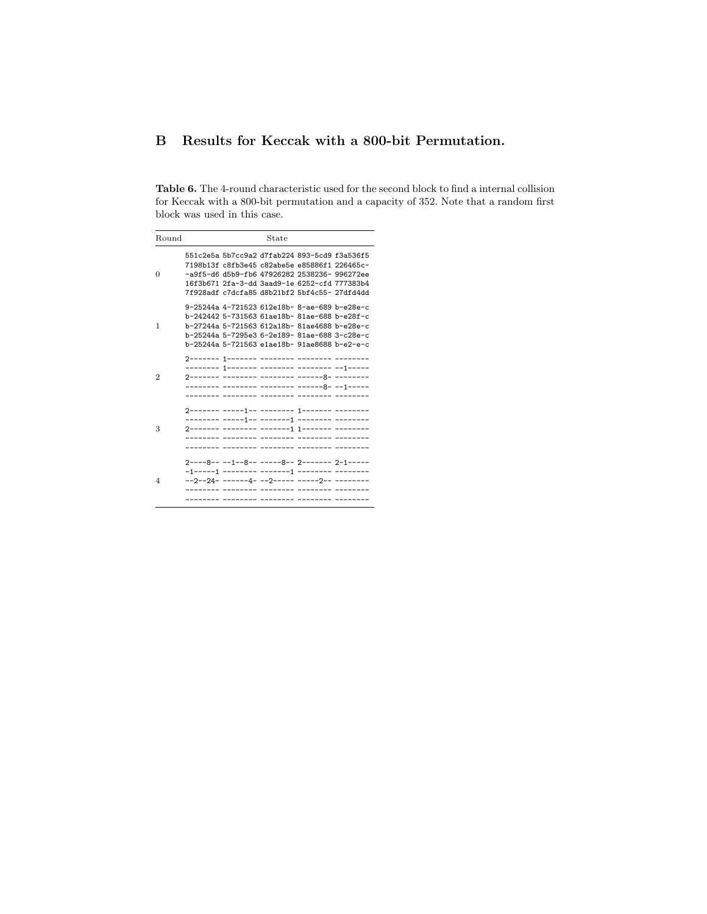# <span id="page-14-0"></span>B Results for Keccak with a 800-bit Permutation.

Table 6. The 4-round characteristic used for the second block to find a internal collision for Keccak with a 800-bit permutation and a capacity of 352. Note that a random first block was used in this case.

| Round | State                                                                                                                                                                                                                                        |
|-------|----------------------------------------------------------------------------------------------------------------------------------------------------------------------------------------------------------------------------------------------|
| 0     | 551c2e5a 5b7cc9a2 d7fab224 893-5cd9 f3a536f5<br>7198b13f c8fb3e45 c82abe5e e85886f1 226465c-<br>-a9f5-d6 d5b9-fb6 47926282 2538236- 996272ee<br>16f3b671 2fa-3-dd 3aad9-1e 6252-cfd 777383b4<br>7f928adf c7dcfa85 d8b21bf2 5bf4c55- 27dfd4dd |
| 1     | 9-25244a 4-721523 612e18b- 8-ae-689 b-e28e-c<br>b-242442 5-731563 61ae18b- 81ae-688 b-e28f-c<br>b-27244a 5-721563 612a18b- 81ae4688 b-e28e-c<br>b-25244a 5-7295e3 6-2e189- 81ae-688 3-c28e-c<br>b-25244a 5-721563 e1ae18b- 91ae8688 b-e2-e-c |
| 2     | 2------- 1------- -------- --------- ---<br>-------- 1------- -------- --------- --1-----<br>------- -------- -------- -------8- --1-----                                                                                                    |
| 3     |                                                                                                                                                                                                                                              |
| 4     | $2---8---1---8---3---8---2------2-1---$                                                                                                                                                                                                      |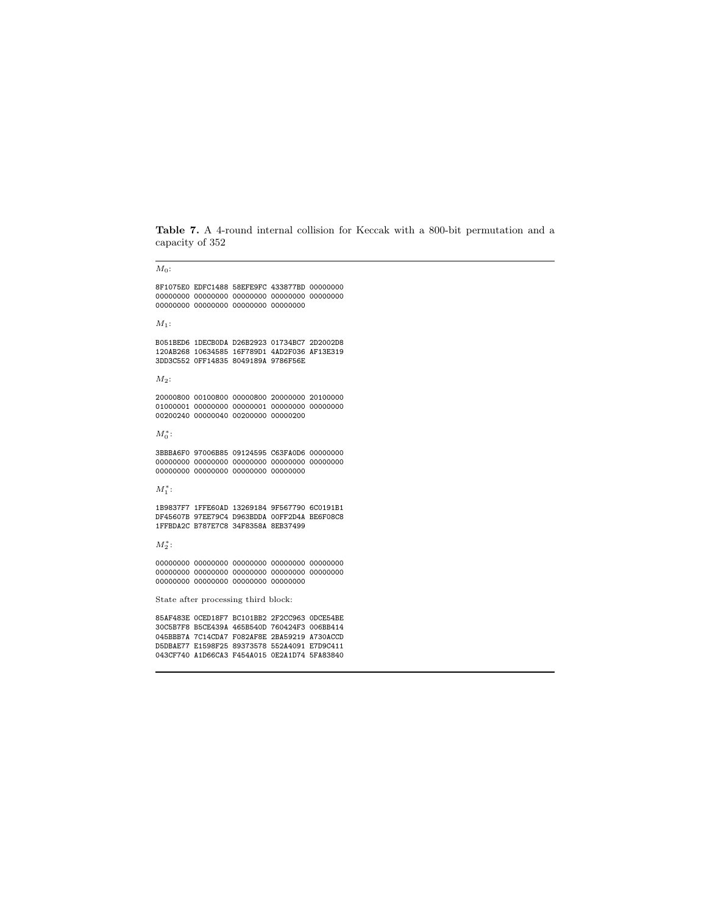Table 7. A 4-round internal collision for Keccak with a 800-bit permutation and a capacity of 352

 $M_0$ :

8F1075E0 EDFC1488 58EFE9FC 433877BD 00000000 00000000 00000000 00000000 00000000 00000000 00000000 00000000 00000000 00000000

 $M_1$ :

B051BED6 1DECB0DA D26B2923 01734BC7 2D2002D8 120AB268 10634585 16F789D1 4AD2F036 AF13E319 3DD3C552 0FF14835 8049189A 9786F56E

 $M_2$ :

20000800 00100800 00000800 20000000 20100000 01000001 00000000 00000001 00000000 00000000 00200240 00000040 00200000 00000200

 $M_0^*$ :

3BBBA6F0 97006B85 09124595 C63FA0D6 00000000 00000000 00000000 00000000 00000000 00000000 00000000 00000000 00000000 00000000

 $M_1^*$ :

1B9837F7 1FFE60AD 13269184 9F567790 6C0191B1 DF45607B 97EE79C4 D963BDDA 00FF2D4A BE6F08C8 1FFBDA2C B787E7C8 34F8358A 8EB37499

 $M_2^*$ :

00000000 00000000 00000000 00000000 00000000 00000000 00000000 00000000 00000000 00000000 00000000 00000000 00000000 00000000

State after processing third block:

85AF483E 0CED18F7 BC101BB2 2F2CC963 0DCE54BE 30C5B7F8 B5CE439A 465B540D 760424F3 006BB414 045BBB7A 7C14CDA7 F082AF8E 2BA59219 A730ACCD D5DBAE77 E1598F25 89373578 552A4091 E7D9C411 043CF740 A1D66CA3 F454A015 0E2A1D74 5FA83840